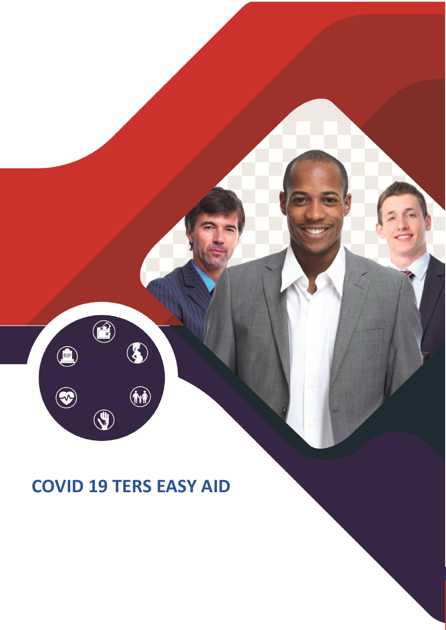**COVID 19 TERS EASY AID** 

 $\bigcirc$ 

 $\begin{pmatrix} \overrightarrow{r} & \overrightarrow{r} & \overrightarrow{r} & \overrightarrow{r} & \overrightarrow{r} & \overrightarrow{r} & \overrightarrow{r} & \overrightarrow{r} & \overrightarrow{r} & \overrightarrow{r} & \overrightarrow{r} & \overrightarrow{r} & \overrightarrow{r} & \overrightarrow{r} & \overrightarrow{r} & \overrightarrow{r} & \overrightarrow{r} & \overrightarrow{r} & \overrightarrow{r} & \overrightarrow{r} & \overrightarrow{r} & \overrightarrow{r} & \overrightarrow{r} & \overrightarrow{r} & \overrightarrow{r} & \overrightarrow{r} & \overrightarrow{r} & \overrightarrow{r} & \overrightarrow{r} & \overrightarrow{r} & \overrightarrow{$ 

 $\bigcirc$ 

 $\circledast$ 

3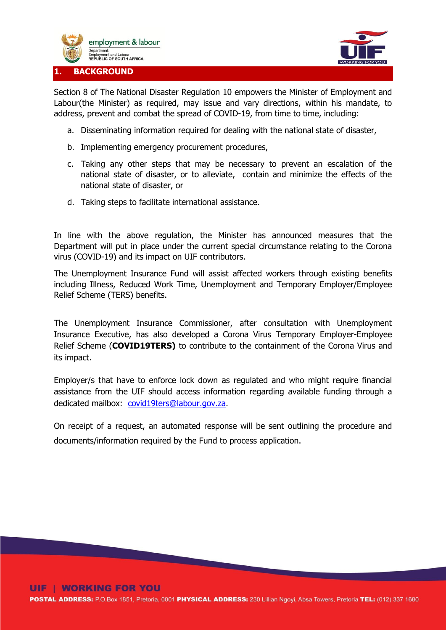



Section 8 of The National Disaster Regulation 10 empowers the Minister of Employment and Labour(the Minister) as required, may issue and vary directions, within his mandate, to address, prevent and combat the spread of COVID-19, from time to time, including:

- a. Disseminating information required for dealing with the national state of disaster,
- b. Implementing emergency procurement procedures,
- c. Taking any other steps that may be necessary to prevent an escalation of the national state of disaster, or to alleviate, contain and minimize the effects of the national state of disaster, or
- d. Taking steps to facilitate international assistance.

In line with the above regulation, the Minister has announced measures that the Department will put in place under the current special circumstance relating to the Corona virus (COVID-19) and its impact on UIF contributors.

The Unemployment Insurance Fund will assist affected workers through existing benefits including Illness, Reduced Work Time, Unemployment and Temporary Employer/Employee Relief Scheme (TERS) benefits.

The Unemployment Insurance Commissioner, after consultation with Unemployment Insurance Executive, has also developed a Corona Virus Temporary Employer-Employee Relief Scheme (**COVID19TERS)** to contribute to the containment of the Corona Virus and its impact.

Employer/s that have to enforce lock down as regulated and who might require financial assistance from the UIF should access information regarding available funding through a dedicated mailbox: [covid19ters@labour.gov.za.](mailto:covid19ters@labour.gov.za)

On receipt of a request, an automated response will be sent outlining the procedure and documents/information required by the Fund to process application.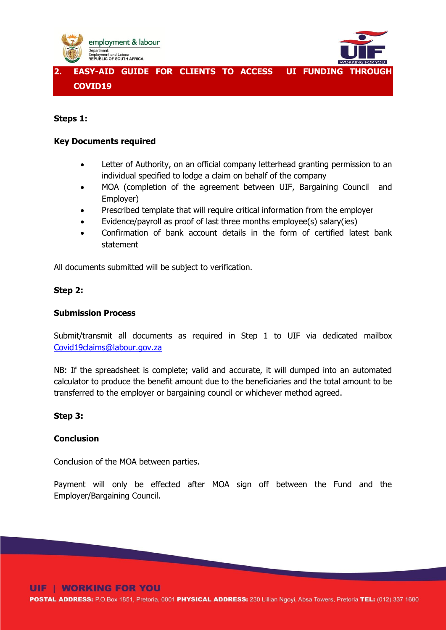



**2. EASY-AID GUIDE FOR CLIENTS TO ACCESS UI FUNDING THROUGH COVID19**

# **Steps 1:**

### **Key Documents required**

- Letter of Authority, on an official company letterhead granting permission to an individual specified to lodge a claim on behalf of the company
- MOA (completion of the agreement between UIF, Bargaining Council and Employer)
- Prescribed template that will require critical information from the employer
- Evidence/payroll as proof of last three months employee(s) salary(ies)
- Confirmation of bank account details in the form of certified latest bank statement

All documents submitted will be subject to verification.

### **Step 2:**

# **Submission Process**

Submit/transmit all documents as required in Step 1 to UIF via dedicated mailbox [Covid19claims@labour.gov.za](mailto:Covid19claims@labour.gov.za)

NB: If the spreadsheet is complete; valid and accurate, it will dumped into an automated calculator to produce the benefit amount due to the beneficiaries and the total amount to be transferred to the employer or bargaining council or whichever method agreed.

### **Step 3:**

# **Conclusion**

Conclusion of the MOA between parties.

Payment will only be effected after MOA sign off between the Fund and the Employer/Bargaining Council.

# **UIF I WORKING FOR YOU**

POSTAL ADDRESS: P.O.Box 1851, Pretoria, 0001 PHYSICAL ADDRESS: 230 Lillian Ngoyi, Absa Towers, Pretoria TEL: (012) 337 1680